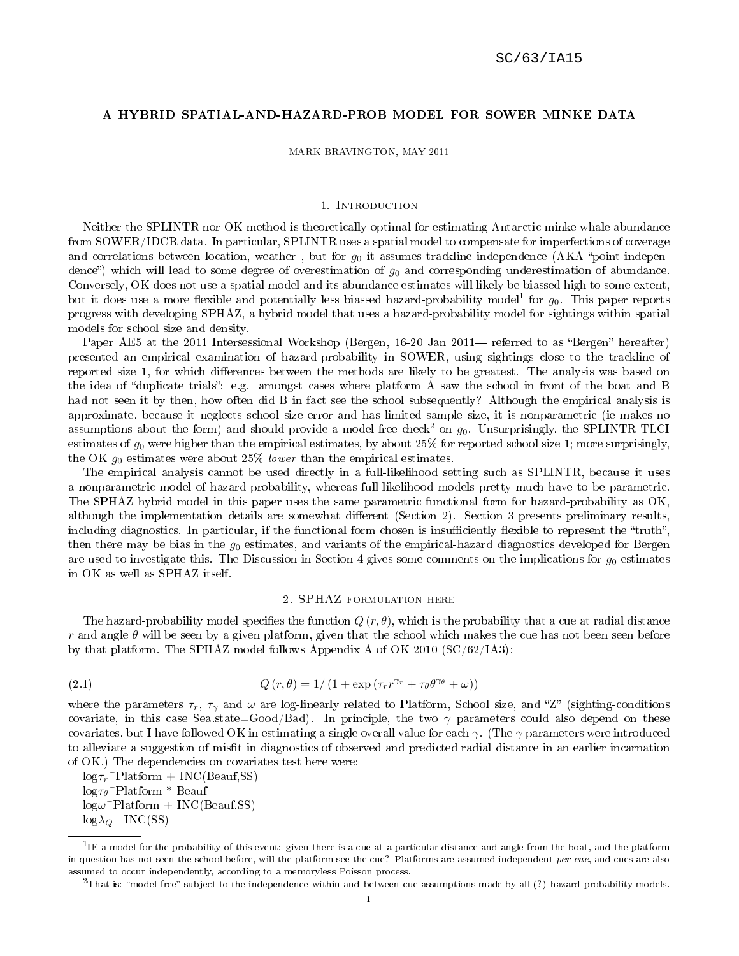# A HYBRID SPATIAL-AND-HAZARD-PROB MODEL FOR SOWER MINKE DATA

MARK BRAVINGTON, MAY 2011

## 1. Introduction

Neither the SPLINTR nor OK method is theoretically optimal for estimating Antarctic minke whale abundance from SOWER/IDCR data. In particular, SPLINTR uses a spatial model to compensate for imperfections of coverage and correlations between location, weather, but for  $g_0$  it assumes trackline independence (AKA "point independence") which will lead to some degree of overestimation of  $g_0$  and corresponding underestimation of abundance. Conversely, OK does not use a spatial model and its abundance estimates will likely be biassed high to some extent, but it does use a more flexible and potentially less biassed hazard-probability model<sup>1</sup> for  $g_0$ . This paper reports progress with developing SPHAZ, a hybrid model that uses a hazard-probability model for sightings within spatial models for school size and density.

Paper AE5 at the 2011 Intersessional Workshop (Bergen, 16-20 Jan 2011— referred to as "Bergen" hereafter) presented an empirical examination of hazard-probability in SOWER, using sightings close to the trackline of reported size 1, for which differences between the methods are likely to be greatest. The analysis was based on the idea of "duplicate trials": e.g. amongst cases where platform A saw the school in front of the boat and B had not seen it by then, how often did B in fact see the school subsequently? Although the empirical analysis is approximate, because it neglects school size error and has limited sample size, it is nonparametric (ie makes no assumptions about the form) and should provide a model-free check<sup>2</sup> on  $g_0$ . Unsurprisingly, the SPLINTR TLCI estimates of  $g_0$  were higher than the empirical estimates, by about 25% for reported school size 1; more surprisingly, the OK  $g_0$  estimates were about 25% lower than the empirical estimates.

The empirical analysis cannot be used directly in a full-likelihood setting such as SPLINTR, because it uses a nonparametric model of hazard probability, whereas full-likelihood models pretty much have to be parametric. The SPHAZ hybrid model in this paper uses the same parametric functional form for hazard-probability as OK, although the implementation details are somewhat different (Section 2). Section 3 presents preliminary results, including diagnostics. In particular, if the functional form chosen is insufficiently flexible to represent the "truth", then there may be bias in the  $g_0$  estimates, and variants of the empirical-hazard diagnostics developed for Bergen are used to investigate this. The Discussion in Section 4 gives some comments on the implications for  $g_0$  estimates in OK as well as SPHAZ itself.

## 2. SPHAZ formulation here

The hazard-probability model specifies the function  $Q(r, \theta)$ , which is the probability that a cue at radial distance r and angle  $\theta$  will be seen by a given platform, given that the school which makes the cue has not been seen before by that platform. The SPHAZ model follows Appendix A of OK 2010  $(C/C/62/IA3)$ :

(2.1) 
$$
Q(r,\theta) = 1/(1+\exp(\tau_r r^{\gamma_r} + \tau_\theta \theta^{\gamma_\theta} + \omega))
$$

where the parameters  $\tau_r$ ,  $\tau_\gamma$  and  $\omega$  are log-linearly related to Platform, School size, and "Z" (sighting-conditions covariate, in this case Sea.state=Good/Bad). In principle, the two  $\gamma$  parameters could also depend on these covariates, but I have followed OK in estimating a single overall value for each  $\gamma$ . (The  $\gamma$  parameters were introduced to alleviate a suggestion of misfit in diagnostics of observed and predicted radial distance in an earlier incarnation of OK.) The dependencies on covariates test here were:

 $\log \tau_r$ <sup>~</sup>Platform + INC(Beauf,SS)  $log\tau_{\theta}$ <sup>~</sup>Platform \* Beauf  $log\omega^{\sim}$ Platform + INC(Beauf,SS)  $log\lambda_{\mathcal{Q}}$  MC(SS)

 $^1$ IE a model for the probability of this event: given there is a cue at a particular distance and angle from the boat, and the platform in question has not seen the school before, will the platform see the cue? Platforms are assumed independent per cue, and cues are also assumed to occur independently, according to a memoryless Poisson process.

 $^2$ That is: "model-free" subject to the independence-within-and-between-cue assumptions made by all (?) hazard-probability models.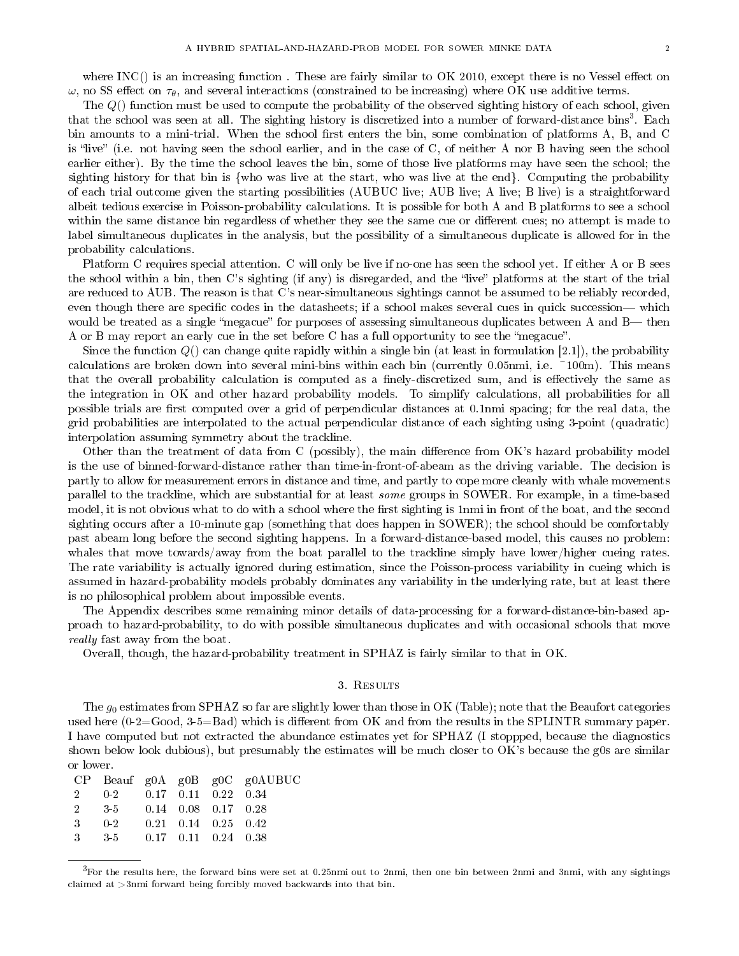where INC() is an increasing function. These are fairly similar to  $\overline{OK}$  2010, except there is no Vessel effect on  $\omega$ , no SS effect on  $\tau_{\theta}$ , and several interactions (constrained to be increasing) where OK use additive terms.

The Q() function must be used to compute the probability of the observed sighting history of each school, given that the school was seen at all. The sighting history is discretized into a number of forward-distance bins<sup>3</sup>. Each bin amounts to a mini-trial. When the school first enters the bin, some combination of platforms A, B, and C is "live" (i.e. not having seen the school earlier, and in the case of C, of neither A nor B having seen the school earlier either). By the time the school leaves the bin, some of those live platforms may have seen the school; the sighting history for that bin is {who was live at the start, who was live at the end}. Computing the probability of each trial outcome given the starting possibilities (AUBUC live; AUB live; A live; B live) is a straightforward albeit tedious exercise in Poisson-probability calculations. It is possible for both A and B platforms to see a school within the same distance bin regardless of whether they see the same cue or different cues; no attempt is made to label simultaneous duplicates in the analysis, but the possibility of a simultaneous duplicate is allowed for in the probability calculations.

Platform C requires special attention. C will only be live if no-one has seen the school yet. If either A or B sees the school within a bin, then C's sighting (if any) is disregarded, and the "live" platforms at the start of the trial are reduced to AUB. The reason is that C's near-simultaneous sightings cannot be assumed to be reliably recorded, even though there are specific codes in the datasheets; if a school makes several cues in quick succession— which would be treated as a single "megacue" for purposes of assessing simultaneous duplicates between A and B— then A or B may report an early cue in the set before C has a full opportunity to see the "megacue".

Since the function  $Q()$  can change quite rapidly within a single bin (at least in formulation [2.1]), the probability calculations are broken down into several mini-bins within each bin (currently 0.05nmi, i.e. ~100m). This means that the overall probability calculation is computed as a finely-discretized sum, and is effectively the same as the integration in OK and other hazard probability models. To simplify calculations, all probabilities for all possible trials are first computed over a grid of perpendicular distances at 0.1nmi spacing; for the real data, the grid probabilities are interpolated to the actual perpendicular distance of each sighting using 3-point (quadratic) interpolation assuming symmetry about the trackline.

Other than the treatment of data from C (possibly), the main difference from OK's hazard probability model is the use of binned-forward-distance rather than time-in-front-of-abeam as the driving variable. The decision is partly to allow for measurement errors in distance and time, and partly to cope more cleanly with whale movements parallel to the trackline, which are substantial for at least some groups in SOWER. For example, in a time-based model, it is not obvious what to do with a school where the first sighting is 1nmi in front of the boat, and the second sighting occurs after a 10-minute gap (something that does happen in SOWER); the school should be comfortably past abeam long before the second sighting happens. In a forward-distance-based model, this causes no problem: whales that move towards/away from the boat parallel to the trackline simply have lower/higher cueing rates. The rate variability is actually ignored during estimation, since the Poisson-process variability in cueing which is assumed in hazard-probability models probably dominates any variability in the underlying rate, but at least there is no philosophical problem about impossible events.

The Appendix describes some remaining minor details of data-processing for a forward-distance-bin-based approach to hazard-probability, to do with possible simultaneous duplicates and with occasional schools that move really fast away from the boat.

Overall, though, the hazard-probability treatment in SPHAZ is fairly similar to that in OK.

### 3. Results

The  $g_0$  estimates from SPHAZ so far are slightly lower than those in OK (Table); note that the Beaufort categories used here  $(0-2)=Good, 3-5=Bad)$  which is different from OK and from the results in the SPLINTR summary paper. I have computed but not extracted the abundance estimates yet for SPHAZ (I stoppped, because the diagnostics shown below look dubious), but presumably the estimates will be much closer to OK's because the g0s are similar or lower.

|                                            |  | $CP$ Beauf g0A g0B g0C g0AUBUC |
|--------------------------------------------|--|--------------------------------|
| 2  0-2  0.17  0.11  0.22  0.34             |  |                                |
| 2 3-5 0.14 0.08 0.17 0.28                  |  |                                |
| $3 \t 0-2 \t 0.21 \t 0.14 \t 0.25 \t 0.42$ |  |                                |
| $3 \t 3-5 \t 0.17 \t 0.11 \t 0.24 \t 0.38$ |  |                                |
|                                            |  |                                |

 ${}^{3}$ For the results here, the forward bins were set at 0.25nmi out to 2nmi, then one bin between 2nmi and 3nmi, with any sightings claimed at >3nmi forward being forcibly moved backwards into that bin.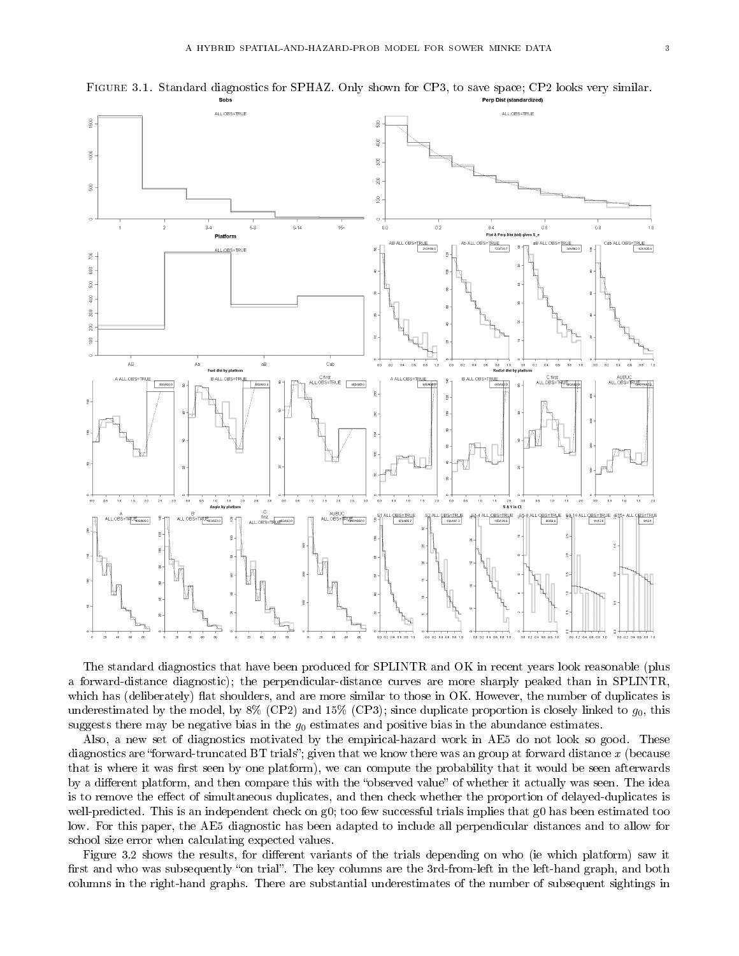

Figure 3.1. Standard diagnostics for SPHAZ. Only shown for CP3, to save space; CP2 looks very similar.

The standard diagnostics that have been produced for SPLINTR and OK in recent years look reasonable (plus a forward-distance diagnostic); the perpendicular-distance curves are more sharply peaked than in SPLINTR, which has (deliberately) flat shoulders, and are more similar to those in OK. However, the number of duplicates is underestimated by the model, by  $8\%$  (CP2) and  $15\%$  (CP3); since duplicate proportion is closely linked to  $g_0$ , this suggests there may be negative bias in the  $g_0$  estimates and positive bias in the abundance estimates.

Also, a new set of diagnostics motivated by the empirical-hazard work in AE5 do not look so good. These diagnostics are "forward-truncated BT trials"; given that we know there was an group at forward distance x (because that is where it was first seen by one platform), we can compute the probability that it would be seen afterwards by a different platform, and then compare this with the "observed value" of whether it actually was seen. The idea is to remove the effect of simultaneous duplicates, and then check whether the proportion of delayed-duplicates is well-predicted. This is an independent check on g0; too few successful trials implies that g0 has been estimated too low. For this paper, the AE5 diagnostic has been adapted to include all perpendicular distances and to allow for school size error when calculating expected values.

Figure 3.2 shows the results, for different variants of the trials depending on who (ie which platform) saw it first and who was subsequently "on trial". The key columns are the 3rd-from-left in the left-hand graph, and both columns in the right-hand graphs. There are substantial underestimates of the number of subsequent sightings in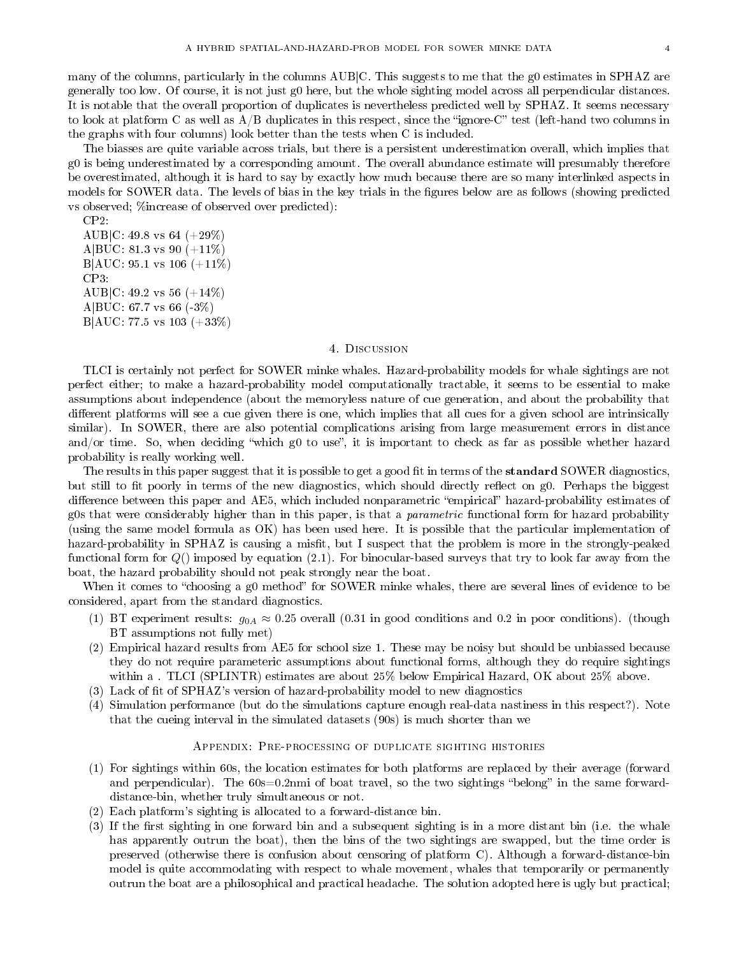many of the columns, particularly in the columns AUB|C. This suggests to me that the g0 estimates in SPHAZ are generally too low. Of course, it is not just g0 here, but the whole sighting model across all perpendicular distances. It is notable that the overall proportion of duplicates is nevertheless predicted well by SPHAZ. It seems necessary to look at platform C as well as  $A/B$  duplicates in this respect, since the "ignore-C" test (left-hand two columns in the graphs with four columns) look better than the tests when C is included.

The biasses are quite variable across trials, but there is a persistent underestimation overall, which implies that g0 is being underestimated by a corresponding amount. The overall abundance estimate will presumably therefore be overestimated, although it is hard to say by exactly how much because there are so many interlinked aspects in models for SOWER data. The levels of bias in the key trials in the figures below are as follows (showing predicted vs observed; %increase of observed over predicted):

```
CP2:
AUB|C: 49.8 vs 64 (+29\%)A|BUC: 81.3 vs 90 (+11\%)B|AUC: 95.1 vs 106 (+11\%)CP3:
AUB|C: 49.2 vs 56 (+14%)A|BUC: 67.7 vs 66 (-3%)
B|AUC: 77.5 vs 103 (+33%)
```
#### 4. Discussion

TLCI is certainly not perfect for SOWER minke whales. Hazard-probability models for whale sightings are not perfect either; to make a hazard-probability model computationally tractable, it seems to be essential to make assumptions about independence (about the memoryless nature of cue generation, and about the probability that different platforms will see a cue given there is one, which implies that all cues for a given school are intrinsically similar). In SOWER, there are also potential complications arising from large measurement errors in distance and/or time. So, when deciding "which g0 to use", it is important to check as far as possible whether hazard probability is really working well.

The results in this paper suggest that it is possible to get a good fit in terms of the **standard** SOWER diagnostics, but still to fit poorly in terms of the new diagnostics, which should directly reflect on g0. Perhaps the biggest difference between this paper and AE5, which included nonparametric "empirical" hazard-probability estimates of g0s that were considerably higher than in this paper, is that a *parametric* functional form for hazard probability (using the same model formula as OK) has been used here. It is possible that the particular implementation of hazard-probability in SPHAZ is causing a misfit, but I suspect that the problem is more in the strongly-peaked functional form for  $Q()$  imposed by equation  $(2.1)$ . For binocular-based surveys that try to look far away from the boat, the hazard probability should not peak strongly near the boat.

When it comes to "choosing a g0 method" for SOWER minke whales, there are several lines of evidence to be considered, apart from the standard diagnostics.

- (1) BT experiment results:  $g_{0A} \approx 0.25$  overall (0.31 in good conditions and 0.2 in poor conditions). (though BT assumptions not fully met)
- (2) Empirical hazard results from AE5 for school size 1. These may be noisy but should be unbiassed because they do not require parameteric assumptions about functional forms, although they do require sightings within a . TLCI (SPLINTR) estimates are about 25% below Empirical Hazard, OK about 25% above.
- $(3)$  Lack of fit of SPHAZ's version of hazard-probability model to new diagnostics
- (4) Simulation performance (but do the simulations capture enough real-data nastiness in this respect?). Note that the cueing interval in the simulated datasets (90s) is much shorter than we

### Appendix: Pre-processing of duplicate sighting histories

- (1) For sightings within 60s, the location estimates for both platforms are replaced by their average (forward and perpendicular). The  $60s=0.2$ nmi of boat travel, so the two sightings "belong" in the same forwarddistance-bin, whether truly simultaneous or not.
- (2) Each platform's sighting is allocated to a forward-distance bin.
- (3) If the first sighting in one forward bin and a subsequent sighting is in a more distant bin (i.e. the whale has apparently outrun the boat), then the bins of the two sightings are swapped, but the time order is preserved (otherwise there is confusion about censoring of platform C). Although a forward-distance-bin model is quite accommodating with respect to whale movement, whales that temporarily or permanently outrun the boat are a philosophical and practical headache. The solution adopted here is ugly but practical;